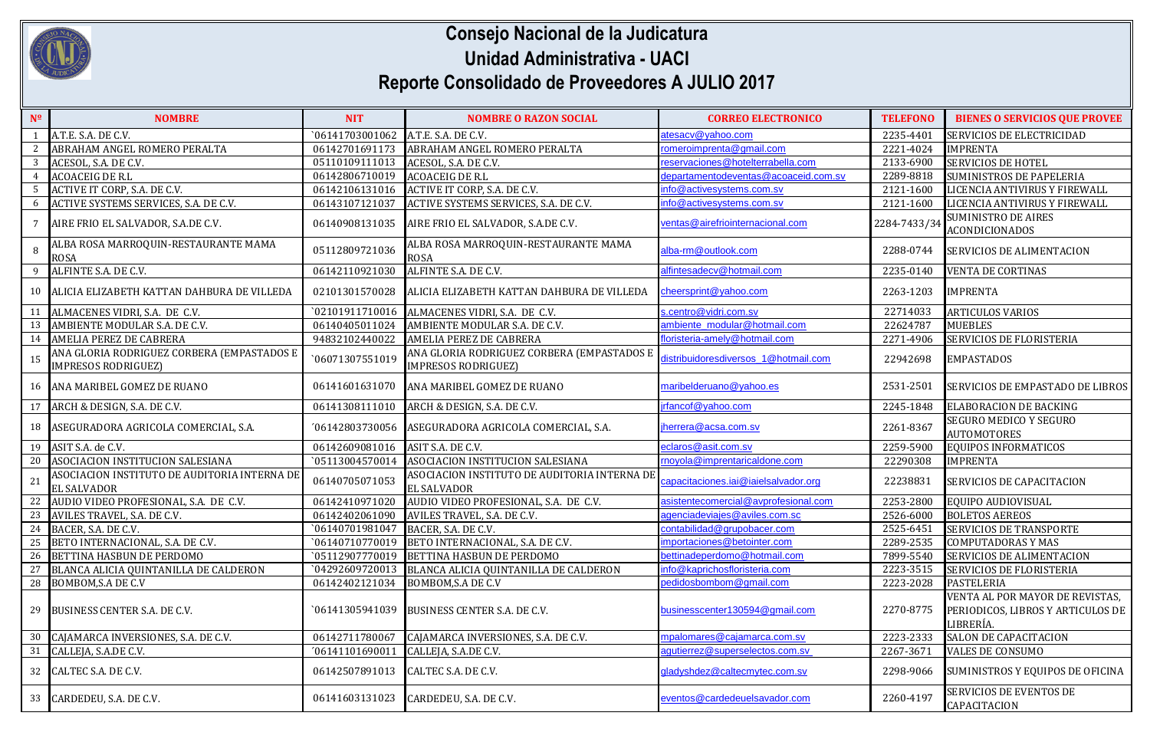

## **Consejo Nacional de la Judicatura Unidad Administrativa - UACI Reporte Consolidado de Proveedores A JULIO 2017**

| N <sup>o</sup> | <b>NOMBRE</b>                                                            | <b>NIT</b>      | <b>NOMBRE O RAZON SOCIAL</b>                                             | <b>CORREO ELECTRONICO</b>            | <b>TELEFONO</b> | <b>BIENES O SERVICIOS QUE PROVEE</b>                                              |
|----------------|--------------------------------------------------------------------------|-----------------|--------------------------------------------------------------------------|--------------------------------------|-----------------|-----------------------------------------------------------------------------------|
|                | A.T.E. S.A. DE C.V.                                                      | `06141703001062 | A.T.E. S.A. DE C.V.                                                      | atesacv@yahoo.com                    | 2235-4401       | SERVICIOS DE ELECTRICIDAD                                                         |
| 2              | ABRAHAM ANGEL ROMERO PERALTA                                             | 06142701691173  | ABRAHAM ANGEL ROMERO PERALTA                                             | romeroimprenta@gmail.com             | 2221-4024       | <b>IMPRENTA</b>                                                                   |
| 3              | ACESOL, S.A. DE C.V.                                                     | 05110109111013  | ACESOL, S.A. DE C.V.                                                     | eservaciones@hotelterrabella.com     | 2133-6900       | <b>SERVICIOS DE HOTEL</b>                                                         |
| $\overline{4}$ | <b>ACOACEIG DE R.L</b>                                                   | 06142806710019  | <b>ACOACEIG DE R.L</b>                                                   | departamentodeventas@acoaceid.com.sv | 2289-8818       | <b>SUMINISTROS DE PAPELERIA</b>                                                   |
| - 5            | ACTIVE IT CORP, S.A. DE C.V.                                             | 06142106131016  | ACTIVE IT CORP, S.A. DE C.V.                                             | info@activesystems.com.sv            | 2121-1600       | LICENCIA ANTIVIRUS Y FIREWALL                                                     |
| 6              | ACTIVE SYSTEMS SERVICES, S.A. DE C.V.                                    | 06143107121037  | ACTIVE SYSTEMS SERVICES, S.A. DE C.V.                                    | nfo@activesystems.com.sv             | 2121-1600       | LICENCIA ANTIVIRUS Y FIREWALL                                                     |
|                | AIRE FRIO EL SALVADOR, S.A.DE C.V.                                       | 06140908131035  | AIRE FRIO EL SALVADOR, S.A.DE C.V.                                       | ventas@airefriointernacional.com     | 2284-7433/34    | <b>SUMINISTRO DE AIRES</b><br><b>ACONDICIONADOS</b>                               |
| 8              | ALBA ROSA MARROQUIN-RESTAURANTE MAMA<br><b>ROSA</b>                      | 05112809721036  | ALBA ROSA MARROQUIN-RESTAURANTE MAMA<br><b>ROSA</b>                      | alba-rm@outlook.com                  | 2288-0744       | <b>SERVICIOS DE ALIMENTACION</b>                                                  |
| -9             | ALFINTE S.A. DE C.V.                                                     | 06142110921030  | ALFINTE S.A. DE C.V.                                                     | alfintesadecv@hotmail.com            | 2235-0140       | <b>VENTA DE CORTINAS</b>                                                          |
| 10             | ALICIA ELIZABETH KATTAN DAHBURA DE VILLEDA                               | 02101301570028  | ALICIA ELIZABETH KATTAN DAHBURA DE VILLEDA                               | cheersprint@yahoo.com                | 2263-1203       | <b>IMPRENTA</b>                                                                   |
| 11             | ALMACENES VIDRI, S.A. DE C.V.                                            | 02101911710016  | ALMACENES VIDRI, S.A. DE C.V.                                            | s.centro@vidri.com.sv                | 22714033        | <b>ARTICULOS VARIOS</b>                                                           |
| 13             | AMBIENTE MODULAR S.A. DE C.V.                                            | 06140405011024  | AMBIENTE MODULAR S.A. DE C.V.                                            | ambiente_modular@hotmail.com         | 22624787        | <b>MUEBLES</b>                                                                    |
| 14             | <b>AMELIA PEREZ DE CABRERA</b>                                           | 94832102440022  | <b>AMELIA PEREZ DE CABRERA</b>                                           | loristeria-amely@hotmail.com         | 2271-4906       | <b>SERVICIOS DE FLORISTERIA</b>                                                   |
| 15             | ANA GLORIA RODRIGUEZ CORBERA (EMPASTADOS E<br><b>IMPRESOS RODRIGUEZ)</b> | `06071307551019 | ANA GLORIA RODRIGUEZ CORBERA (EMPASTADOS E<br><b>IMPRESOS RODRIGUEZ)</b> | distribuidoresdiversos 1@hotmail.com | 22942698        | <b>EMPASTADOS</b>                                                                 |
| 16             | ANA MARIBEL GOMEZ DE RUANO                                               | 06141601631070  | ANA MARIBEL GOMEZ DE RUANO                                               | maribelderuano@yahoo.es              | 2531-2501       | SERVICIOS DE EMPASTADO DE LIBROS                                                  |
| 17             | ARCH & DESIGN, S.A. DE C.V.                                              | 06141308111010  | ARCH & DESIGN, S.A. DE C.V.                                              | rfancof@yahoo.com                    | 2245-1848       | <b>ELABORACION DE BACKING</b>                                                     |
| 18             | ASEGURADORA AGRICOLA COMERCIAL, S.A.                                     | '06142803730056 | ASEGURADORA AGRICOLA COMERCIAL, S.A.                                     | iherrera@acsa.com.sv                 | 2261-8367       | SEGURO MEDICO Y SEGURO<br><b>AUTOMOTORES</b>                                      |
| 19             | ASIT S.A. de C.V.                                                        | 06142609081016  | ASIT S.A. DE C.V.                                                        | eclaros@asit.com.sv                  | 2259-5900       | <b>EQUIPOS INFORMATICOS</b>                                                       |
| 20             | ASOCIACION INSTITUCION SALESIANA                                         | `05113004570014 | ASOCIACION INSTITUCION SALESIANA                                         | rnoyola@imprentaricaldone.com        | 22290308        | <b>IMPRENTA</b>                                                                   |
| 21             | ASOCIACION INSTITUTO DE AUDITORIA INTERNA DE<br><b>EL SALVADOR</b>       | 06140705071053  | ASOCIACION INSTITUTO DE AUDITORIA INTERNA DE<br><b>EL SALVADOR</b>       | capacitaciones.iai@iaielsalvador.org | 22238831        | SERVICIOS DE CAPACITACION                                                         |
| 22             | AUDIO VIDEO PROFESIONAL, S.A. DE C.V.                                    | 06142410971020  | AUDIO VIDEO PROFESIONAL, S.A. DE C.V.                                    | asistentecomercial@avprofesional.com | 2253-2800       | EQUIPO AUDIOVISUAL                                                                |
| 23             | AVILES TRAVEL, S.A. DE C.V.                                              | 06142402061090  | AVILES TRAVEL, S.A. DE C.V.                                              | genciadeviaies@aviles.com.sc         | 2526-6000       | <b>BOLETOS AEREOS</b>                                                             |
| 24             | BACER, S.A. DE C.V.                                                      | `06140701981047 | BACER, S.A. DE C.V.                                                      | contabilidad@grupobacer.com          | 2525-6451       | SERVICIOS DE TRANSPORTE                                                           |
| 25             | BETO INTERNACIONAL, S.A. DE C.V.                                         | `06140710770019 | BETO INTERNACIONAL, S.A. DE C.V.                                         | importaciones@betointer.com          | 2289-2535       | <b>COMPUTADORAS Y MAS</b>                                                         |
| 26             | BETTINA HASBUN DE PERDOMO                                                | `05112907770019 | <b>BETTINA HASBUN DE PERDOMO</b>                                         | bettinadeperdomo@hotmail.com         | 7899-5540       | SERVICIOS DE ALIMENTACION                                                         |
| 27             | BLANCA ALICIA QUINTANILLA DE CALDERON                                    | `04292609720013 | BLANCA ALICIA QUINTANILLA DE CALDERON                                    | info@kaprichosfloristeria.com        | 2223-3515       | SERVICIOS DE FLORISTERIA                                                          |
| 28             | <b>BOMBOM, S.A DE C.V</b>                                                | 06142402121034  | <b>BOMBOM, S.A DE C.V</b>                                                | bedidosbombom@gmail.com              | 2223-2028       | <b>PASTELERIA</b>                                                                 |
| 29             | BUSINESS CENTER S.A. DE C.V.                                             | `06141305941039 | BUSINESS CENTER S.A. DE C.V.                                             | businesscenter130594@gmail.com       | 2270-8775       | VENTA AL POR MAYOR DE REVISTAS,<br>PERIODICOS, LIBROS Y ARTICULOS DE<br>LIBRERÍA. |
| 30             | CAJAMARCA INVERSIONES, S.A. DE C.V.                                      | 06142711780067  | CAJAMARCA INVERSIONES, S.A. DE C.V.                                      | mpalomares@cajamarca.com.sv          | 2223-2333       | <b>SALON DE CAPACITACION</b>                                                      |
| 31             | CALLEJA, S.A.DE C.V.                                                     | '06141101690011 | CALLEJA, S.A.DE C.V.                                                     | agutierrez@superselectos.com.sv      | 2267-3671       | <b>VALES DE CONSUMO</b>                                                           |
| 32             | CALTEC S.A. DE C.V.                                                      | 06142507891013  | CALTEC S.A. DE C.V.                                                      | gladyshdez@caltecmytec.com.sv        | 2298-9066       | SUMINISTROS Y EQUIPOS DE OFICINA                                                  |
| 33             | CARDEDEU, S.A. DE C.V.                                                   | 06141603131023  | CARDEDEU, S.A. DE C.V.                                                   | eventos@cardedeuelsavador.com        | 2260-4197       | SERVICIOS DE EVENTOS DE<br>CAPACITACION                                           |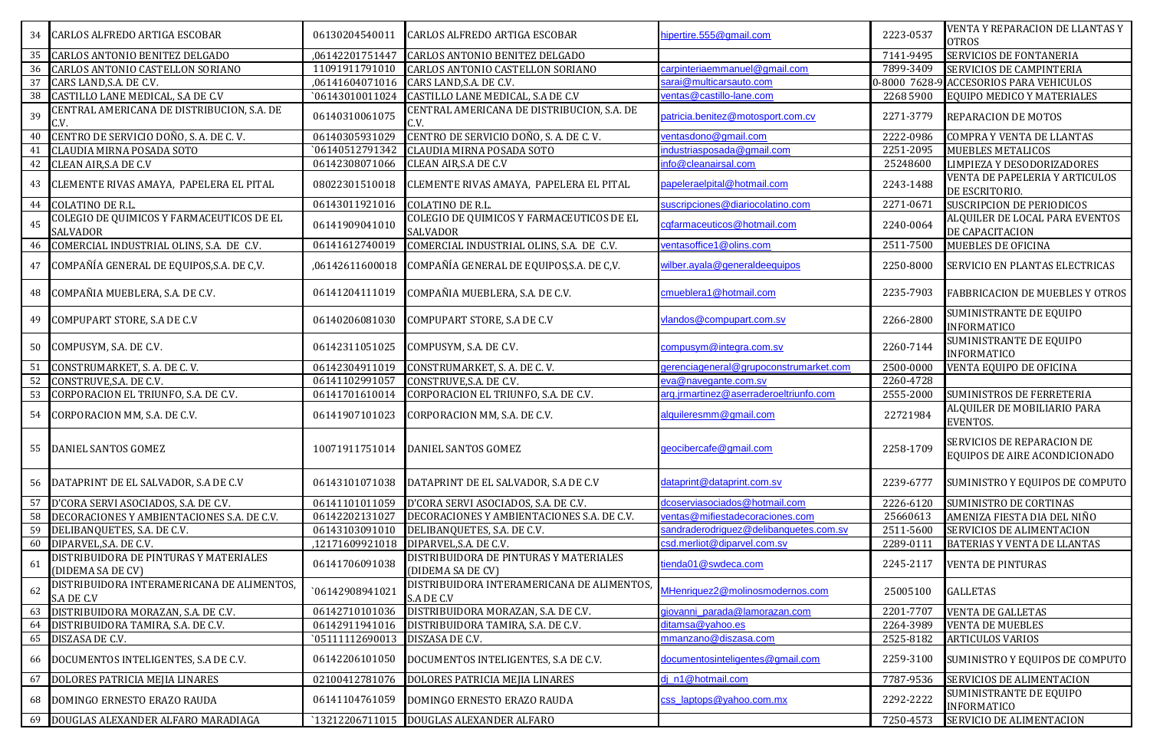| 34              | CARLOS ALFREDO ARTIGA ESCOBAR                                | 06130204540011  | CARLOS ALFREDO ARTIGA ESCOBAR                                | hipertire.555@gmail.com                | 2223-0537     | VENTA Y REPARACION DE LLANTAS Y<br><b>OTROS</b>             |
|-----------------|--------------------------------------------------------------|-----------------|--------------------------------------------------------------|----------------------------------------|---------------|-------------------------------------------------------------|
| 35              | CARLOS ANTONIO BENITEZ DELGADO                               | ,06142201751447 | CARLOS ANTONIO BENITEZ DELGADO                               |                                        | 7141-9495     | SERVICIOS DE FONTANERIA                                     |
| 36              | CARLOS ANTONIO CASTELLON SORIANO                             | 11091911791010  | CARLOS ANTONIO CASTELLON SORIANO                             | carpinteriaemmanuel@gmail.com          | 7899-3409     | <b>SERVICIOS DE CAMPINTERIA</b>                             |
| 37              | CARS LAND, S.A. DE C.V.                                      | ,06141604071016 | CARS LAND, S.A. DE C.V.                                      | sarai@multicarsauto.com                | 0-8000 7628-9 | <b>ACCESORIOS PARA VEHICULOS</b>                            |
| $\overline{38}$ | CASTILLO LANE MEDICAL, S.A DE C.V                            | `06143010011024 | CASTILLO LANE MEDICAL, S.A DE C.V                            | ventas@castillo-lane.com               | 2268 5900     | EQUIPO MEDICO Y MATERIALES                                  |
| 39              | CENTRAL AMERICANA DE DISTRIBUCION, S.A. DE<br>C.V            | 06140310061075  | CENTRAL AMERICANA DE DISTRIBUCION, S.A. DE<br>C.V.           | patricia.benitez@motosport.com.cv      | 2271-3779     | REPARACION DE MOTOS                                         |
| 40              | CENTRO DE SERVICIO DOÑO, S. A. DE C. V.                      | 06140305931029  | CENTRO DE SERVICIO DOÑO, S. A. DE C. V.                      | ventasdono@gmail.com                   | 2222-0986     | <b>COMPRA Y VENTA DE LLANTAS</b>                            |
| 41              | CLAUDIA MIRNA POSADA SOTO                                    | `06140512791342 | CLAUDIA MIRNA POSADA SOTO                                    | industriasposada@gmail.com             | 2251-2095     | <b>MUEBLES METALICOS</b>                                    |
| 42              | CLEAN AIR, S.A DE C.V                                        | 06142308071066  | CLEAN AIR, S.A DE C.V                                        | info@cleanairsal.com                   | 25248600      | LIMPIEZA Y DESODORIZADORES                                  |
| 43              | CLEMENTE RIVAS AMAYA, PAPELERA EL PITAL                      | 08022301510018  | CLEMENTE RIVAS AMAYA, PAPELERA EL PITAL                      | papeleraelpital@hotmail.com            | 2243-1488     | VENTA DE PAPELERIA Y ARTICULOS<br>DE ESCRITORIO.            |
| 44              | <b>COLATINO DE R.L.</b>                                      | 06143011921016  | COLATINO DE R.L.                                             | suscripciones@diariocolatino.com       | 2271-0671     | <b>SUSCRIPCION DE PERIODICOS</b>                            |
| 45              | COLEGIO DE QUIMICOS Y FARMACEUTICOS DE EL<br><b>SALVADOR</b> | 06141909041010  | COLEGIO DE QUIMICOS Y FARMACEUTICOS DE EL<br><b>SALVADOR</b> | cqfarmaceuticos@hotmail.com            | 2240-0064     | ALQUILER DE LOCAL PARA EVENTOS<br>DE CAPACITACION           |
| 46              | COMERCIAL INDUSTRIAL OLINS, S.A. DE C.V.                     | 06141612740019  | COMERCIAL INDUSTRIAL OLINS, S.A. DE C.V.                     | ventasoffice1@olins.com                | 2511-7500     | <b>MUEBLES DE OFICINA</b>                                   |
| 47              | COMPAÑÍA GENERAL DE EQUIPOS, S.A. DE C, V.                   | ,06142611600018 | COMPAÑÍA GENERAL DE EQUIPOS, S.A. DE C, V.                   | wilber.ayala@generaldeequipos          | 2250-8000     | SERVICIO EN PLANTAS ELECTRICAS                              |
| 48              | COMPAÑIA MUEBLERA, S.A. DE C.V.                              | 06141204111019  | COMPAÑIA MUEBLERA, S.A. DE C.V.                              | cmueblera1@hotmail.com                 | 2235-7903     | <b>FABBRICACION DE MUEBLES Y OTROS</b>                      |
| 49              | COMPUPART STORE, S.A DE C.V                                  | 06140206081030  | COMPUPART STORE, S.A DE C.V                                  | vlandos@compupart.com.sv               | 2266-2800     | SUMINISTRANTE DE EQUIPO<br><b>INFORMATICO</b>               |
| 50              | COMPUSYM, S.A. DE C.V.                                       | 06142311051025  | COMPUSYM, S.A. DE C.V.                                       | compusym@integra.com.sv                | 2260-7144     | SUMINISTRANTE DE EQUIPO<br><b>INFORMATICO</b>               |
| 51              | CONSTRUMARKET, S. A. DE C. V.                                | 06142304911019  | CONSTRUMARKET, S. A. DE C. V.                                | gerenciageneral@grupoconstrumarket.com | 2500-0000     | VENTA EQUIPO DE OFICINA                                     |
| 52              | CONSTRUVE, S.A. DE C.V.                                      | 06141102991057  | CONSTRUVE, S.A. DE C.V.                                      | eva@navegante.com.sv                   | 2260-4728     |                                                             |
| 53              | CORPORACION EL TRIUNFO, S.A. DE C.V.                         | 06141701610014  | CORPORACION EL TRIUNFO, S.A. DE C.V.                         | arg.jrmartinez@aserraderoeltriunfo.com | 2555-2000     | SUMINISTROS DE FERRETERIA                                   |
| 54              | CORPORACION MM, S.A. DE C.V.                                 | 06141907101023  | CORPORACION MM, S.A. DE C.V.                                 | alquileresmm@gmail.com                 | 22721984      | ALQUILER DE MOBILIARIO PARA<br>EVENTOS.                     |
| 55              | DANIEL SANTOS GOMEZ                                          | 10071911751014  | DANIEL SANTOS GOMEZ                                          | geocibercafe@gmail.com                 | 2258-1709     | SERVICIOS DE REPARACION DE<br>EQUIPOS DE AIRE ACONDICIONADO |
|                 | DATAPRINT DE EL SALVADOR, S.A DE C.V                         | 06143101071038  | DATAPRINT DE EL SALVADOR, S.A DE C.V                         | dataprint@dataprint.com.sv             | 2239-6777     | SUMINISTRO Y EQUIPOS DE COMPUTO                             |
| 57              | D'CORA SERVI ASOCIADOS, S.A. DE C.V.                         | 06141101011059  | D'CORA SERVI ASOCIADOS, S.A. DE C.V.                         | dcoserviasociados@hotmail.com          | 2226-6120     | <b>SUMINISTRO DE CORTINAS</b>                               |
| 58              | DECORACIONES Y AMBIENTACIONES S.A. DE C.V.                   | 06142202131027  | DECORACIONES Y AMBIENTACIONES S.A. DE C.V.                   | ventas@mifiestadecoraciones.com        | 25660613      | AMENIZA FIESTA DIA DEL NIÑO                                 |
| 59              | DELIBANQUETES, S.A. DE C.V.                                  | 06143103091010  | DELIBANQUETES, S.A. DE C.V.                                  | sandraderodriguez@delibanquetes.com.sv | 2511-5600     | SERVICIOS DE ALIMENTACION                                   |
| 60              | DIPARVEL, S.A. DE C.V.                                       | ,12171609921018 | DIPARVEL, S.A. DE C.V.                                       | csd.merliot@diparvel.com.sv            | 2289-0111     | BATERIAS Y VENTA DE LLANTAS                                 |
| 61              | DISTRIBUIDORA DE PINTURAS Y MATERIALES<br>(DIDEMA SA DE CV)  | 06141706091038  | DISTRIBUIDORA DE PINTURAS Y MATERIALES<br>(DIDEMA SA DE CV)  | tienda01@swdeca.com                    | 2245-2117     | <b>VENTA DE PINTURAS</b>                                    |
| 62              | DISTRIBUIDORA INTERAMERICANA DE ALIMENTOS,<br>S.A DE C.V     | `06142908941021 | DISTRIBUIDORA INTERAMERICANA DE ALIMENTOS,<br>S.A DE C.V     | MHenriquez2@molinosmodernos.com        | 25005100      | <b>GALLETAS</b>                                             |
| 63              | DISTRIBUIDORA MORAZAN, S.A. DE C.V.                          | 06142710101036  | DISTRIBUIDORA MORAZAN, S.A. DE C.V.                          | giovanni parada@lamorazan.com          | 2201-7707     | <b>VENTA DE GALLETAS</b>                                    |
| 64              | DISTRIBUIDORA TAMIRA, S.A. DE C.V.                           | 06142911941016  | DISTRIBUIDORA TAMIRA, S.A. DE C.V.                           | ditamsa@yahoo.es                       | 2264-3989     | <b>VENTA DE MUEBLES</b>                                     |
| 65              | DISZASA DE C.V.                                              | 05111112690013  | DISZASA DE C.V.                                              | nmanzano@diszasa.com                   | 2525-8182     | ARTICULOS VARIOS                                            |
| 66              | DOCUMENTOS INTELIGENTES, S.A DE C.V.                         | 06142206101050  | DOCUMENTOS INTELIGENTES, S.A DE C.V.                         | documentosinteligentes@gmail.com       | 2259-3100     | SUMINISTRO Y EQUIPOS DE COMPUTO                             |
| 67              | DOLORES PATRICIA MEJIA LINARES                               | 02100412781076  | DOLORES PATRICIA MEJIA LINARES                               | din1@hotmail.com                       | 7787-9536     | SERVICIOS DE ALIMENTACION                                   |
| 68              | DOMINGO ERNESTO ERAZO RAUDA                                  | 06141104761059  | <b>DOMINGO ERNESTO ERAZO RAUDA</b>                           | css_laptops@yahoo.com.mx               | 2292-2222     | SUMINISTRANTE DE EQUIPO                                     |
|                 |                                                              |                 |                                                              |                                        |               | <b>INFORMATICO</b>                                          |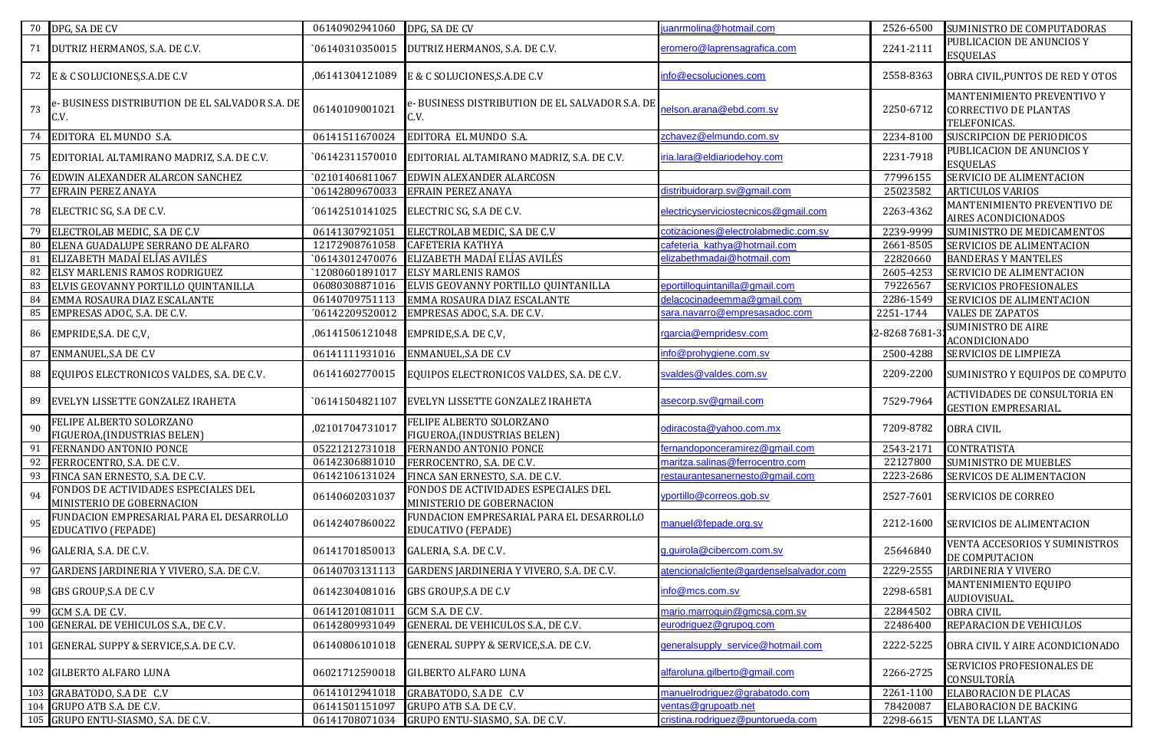|     | 70 DPG, SA DE CV                                                      | 06140902941060  | DPG, SA DE CV                                                         | juanrmolina@hotmail.com                 | 2526-6500    | SUMINISTRO DE COMPUTADORAS                                                 |
|-----|-----------------------------------------------------------------------|-----------------|-----------------------------------------------------------------------|-----------------------------------------|--------------|----------------------------------------------------------------------------|
| 71  | DUTRIZ HERMANOS, S.A. DE C.V.                                         | `06140310350015 | DUTRIZ HERMANOS, S.A. DE C.V.                                         | eromero@laprensagrafica.com             | 2241-2111    | PUBLICACION DE ANUNCIOS Y<br><b>ESQUELAS</b>                               |
| 72  | E & C SOLUCIONES, S.A.DE C.V                                          | ,06141304121089 | E & C SOLUCIONES, S.A.DE C.V                                          | info@ecsoluciones.com                   | 2558-8363    | OBRA CIVIL, PUNTOS DE RED Y OTOS                                           |
| 73  | e-BUSINESS DISTRIBUTION DE EL SALVADOR S.A. DE<br>C.V.                | 06140109001021  | e- BUSINESS DISTRIBUTION DE EL SALVADOR S.A. DE<br>C.V.               | elson.arana@ebd.com.sv                  | 2250-6712    | MANTENIMIENTO PREVENTIVO Y<br><b>CORRECTIVO DE PLANTAS</b><br>TELEFONICAS. |
| 74  | EDITORA EL MUNDO S.A.                                                 | 06141511670024  | EDITORA EL MUNDO S.A.                                                 | zchavez@elmundo.com.sv                  | 2234-8100    | SUSCRIPCION DE PERIODICOS                                                  |
| 75  | EDITORIAL ALTAMIRANO MADRIZ, S.A. DE C.V.                             | 06142311570010  | EDITORIAL ALTAMIRANO MADRIZ, S.A. DE C.V.                             | iria.lara@eldiariodehoy.com             | 2231-7918    | PUBLICACION DE ANUNCIOS Y<br><b>ESQUELAS</b>                               |
| 76  | EDWIN ALEXANDER ALARCON SANCHEZ                                       | 02101406811067  | EDWIN ALEXANDER ALARCOSN                                              |                                         | 77996155     | SERVICIO DE ALIMENTACION                                                   |
| 77  | <b>EFRAIN PEREZ ANAYA</b>                                             | `06142809670033 | <b>EFRAIN PEREZ ANAYA</b>                                             | distribuidorarp.sv@gmail.com            | 25023582     | <b>ARTICULOS VARIOS</b>                                                    |
| 78  | ELECTRIC SG, S.A DE C.V.                                              | '06142510141025 | ELECTRIC SG, S.A DE C.V.                                              | electricyserviciostecnicos@gmail.com    | 2263-4362    | MANTENIMIENTO PREVENTIVO DE<br>AIRES ACONDICIONADOS                        |
| 79  | ELECTROLAB MEDIC, S.A DE C.V                                          | 06141307921051  | ELECTROLAB MEDIC, S.A DE C.V                                          | cotizaciones@electrolabmedic.com.sv     | 2239-9999    | SUMINISTRO DE MEDICAMENTOS                                                 |
| 80  | ELENA GUADALUPE SERRANO DE ALFARO                                     | 12172908761058  | <b>CAFETERIA KATHYA</b>                                               | cafeteria_kathya@hotmail.com            | 2661-8505    | SERVICIOS DE ALIMENTACION                                                  |
| 81  | ELIZABETH MADAÍ ELÍAS AVILÉS                                          | `06143012470076 | ELIZABETH MADAÍ ELÍAS AVILÉS                                          | elizabethmadai@hotmail.com              | 22820660     | <b>BANDERAS Y MANTELES</b>                                                 |
| 82  | ELSY MARLENIS RAMOS RODRIGUEZ                                         | `12080601891017 | <b>ELSY MARLENIS RAMOS</b>                                            |                                         | 2605-4253    | SERVICIO DE ALIMENTACION                                                   |
| 83  | ELVIS GEOVANNY PORTILLO QUINTANILLA                                   | 06080308871016  | ELVIS GEOVANNY PORTILLO QUINTANILLA                                   | eportilloquintanilla@gmail.com          | 79226567     | SERVICIOS PROFESIONALES                                                    |
| 84  | EMMA ROSAURA DIAZ ESCALANTE                                           | 06140709751113  | EMMA ROSAURA DIAZ ESCALANTE                                           | delacocinadeemma@gmail.com              | 2286-1549    | SERVICIOS DE ALIMENTACION                                                  |
| 85  | EMPRESAS ADOC, S.A. DE C.V.                                           | '06142209520012 | EMPRESAS ADOC, S.A. DE C.V.                                           | sara.navarro@empresasadoc.com           | 2251-1744    | <b>VALES DE ZAPATOS</b>                                                    |
| 86  | EMPRIDE, S.A. DE C, V,                                                | ,06141506121048 | EMPRIDE, S.A. DE C, V,                                                | rgarcia@empridesv.com                   | 2-82687681-3 | <b>SUMINISTRO DE AIRE</b><br><b>ACONDICIONADO</b>                          |
| 87  | <b>ENMANUEL, S.A DE C.V</b>                                           | 06141111931016  | <b>ENMANUEL, S.A DE C.V</b>                                           | info@prohygiene.com.sv                  | 2500-4288    | SERVICIOS DE LIMPIEZA                                                      |
| 88  | EQUIPOS ELECTRONICOS VALDES, S.A. DE C.V.                             | 06141602770015  | EQUIPOS ELECTRONICOS VALDES, S.A. DE C.V.                             | svaldes@valdes.com.sv                   | 2209-2200    | SUMINISTRO Y EQUIPOS DE COMPUTO                                            |
| 89  | EVELYN LISSETTE GONZALEZ IRAHETA                                      | `06141504821107 | EVELYN LISSETTE GONZALEZ IRAHETA                                      | asecorp.sv@gmail.com                    | 7529-7964    | ACTIVIDADES DE CONSULTORIA EN<br><b>GESTION EMPRESARIAL.</b>               |
| 90  | FELIPE ALBERTO SOLORZANO<br>FIGUEROA, (INDUSTRIAS BELEN)              | ,02101704731017 | FELIPE ALBERTO SOLORZANO<br>FIGUEROA, (INDUSTRIAS BELEN)              | odiracosta@yahoo.com.mx                 | 7209-8782    | <b>OBRA CIVIL</b>                                                          |
| 91  | FERNANDO ANTONIO PONCE                                                | 05221212731018  | FERNANDO ANTONIO PONCE                                                | ernandoponceramirez@gmail.com           | 2543-2171    | <b>CONTRATISTA</b>                                                         |
| 92  | FERROCENTRO, S.A. DE C.V.                                             | 06142306881010  | FERROCENTRO, S.A. DE C.V.                                             | maritza.salinas@ferrocentro.com         | 22127800     | SUMINISTRO DE MUEBLES                                                      |
| 93  | FINCA SAN ERNESTO, S.A. DE C.V.                                       | 06142106131024  | FINCA SAN ERNESTO, S.A. DE C.V.                                       | estaurantesanernesto@gmail.com          | 2223-2686    | SERVICOS DE ALIMENTACION                                                   |
| 94  | FONDOS DE ACTIVIDADES ESPECIALES DEL<br>MINISTERIO DE GOBERNACION     | 06140602031037  | FONDOS DE ACTIVIDADES ESPECIALES DEL<br>MINISTERIO DE GOBERNACION     | yportillo@correos.gob.sv                | 2527-7601    | <b>SERVICIOS DE CORREO</b>                                                 |
| 95  | FUNDACION EMPRESARIAL PARA EL DESARROLLO<br><b>EDUCATIVO (FEPADE)</b> | 06142407860022  | FUNDACION EMPRESARIAL PARA EL DESARROLLO<br><b>EDUCATIVO (FEPADE)</b> | manuel@fepade.org.sv                    | 2212-1600    | SERVICIOS DE ALIMENTACION                                                  |
| 96  | GALERIA, S.A. DE C.V.                                                 | 06141701850013  | GALERIA, S.A. DE C.V.                                                 | g.guirola@cibercom.com.sv               | 25646840     | VENTA ACCESORIOS Y SUMINISTROS<br>DE COMPUTACION                           |
|     | 97 GARDENS JARDINERIA Y VIVERO, S.A. DE C.V.                          |                 | 06140703131113 GARDENS JARDINERIA Y VIVERO, S.A. DE C.V.              | atencionalcliente@gardenselsalvador.com |              | 2229-2555 JARDINERIA Y VIVERO                                              |
| 98  | <b>GBS GROUP, S.A DE C.V</b>                                          | 06142304081016  | <b>GBS GROUP, S.A DE C.V</b>                                          | info@mcs.com.sv                         | 2298-6581    | MANTENIMIENTO EQUIPO<br>AUDIOVISUAL.                                       |
| 99  | GCM S.A. DE C.V.                                                      | 06141201081011  | GCM S.A. DE C.V.                                                      | mario.marroquin@gmcsa.com.sv            | 22844502     | <b>OBRA CIVIL</b>                                                          |
|     | 100 GENERAL DE VEHICULOS S.A., DE C.V.                                | 06142809931049  | GENERAL DE VEHICULOS S.A., DE C.V.                                    | eurodriguez@grupog.com                  | 22486400     | REPARACION DE VEHICULOS                                                    |
|     | 101 GENERAL SUPPY & SERVICE, S.A. DE C.V.                             | 06140806101018  | GENERAL SUPPY & SERVICE, S.A. DE C.V.                                 | generalsupply_service@hotmail.com       | 2222-5225    | OBRA CIVIL Y AIRE ACONDICIONADO                                            |
|     | 102 GILBERTO ALFARO LUNA                                              | 06021712590018  | <b>GILBERTO ALFARO LUNA</b>                                           | alfaroluna.gilberto@gmail.com           | 2266-2725    | SERVICIOS PROFESIONALES DE<br>CONSULTORÍA                                  |
| 103 | GRABATODO, S.A DE C.V                                                 | 06141012941018  | GRABATODO, S.A DE C.V                                                 | manuelrodriguez@grabatodo.com           | 2261-1100    | <b>ELABORACION DE PLACAS</b>                                               |
| 104 | GRUPO ATB S.A. DE C.V.                                                | 06141501151097  | GRUPO ATB S.A. DE C.V.                                                | ventas@grupoatb.net                     | 78420087     | ELABORACION DE BACKING                                                     |
|     | 105 GRUPO ENTU-SIASMO, S.A. DE C.V.                                   | 06141708071034  | GRUPO ENTU-SIASMO, S.A. DE C.V.                                       | cristina.rodriguez@puntorueda.com       | 2298-6615    | <b>VENTA DE LLANTAS</b>                                                    |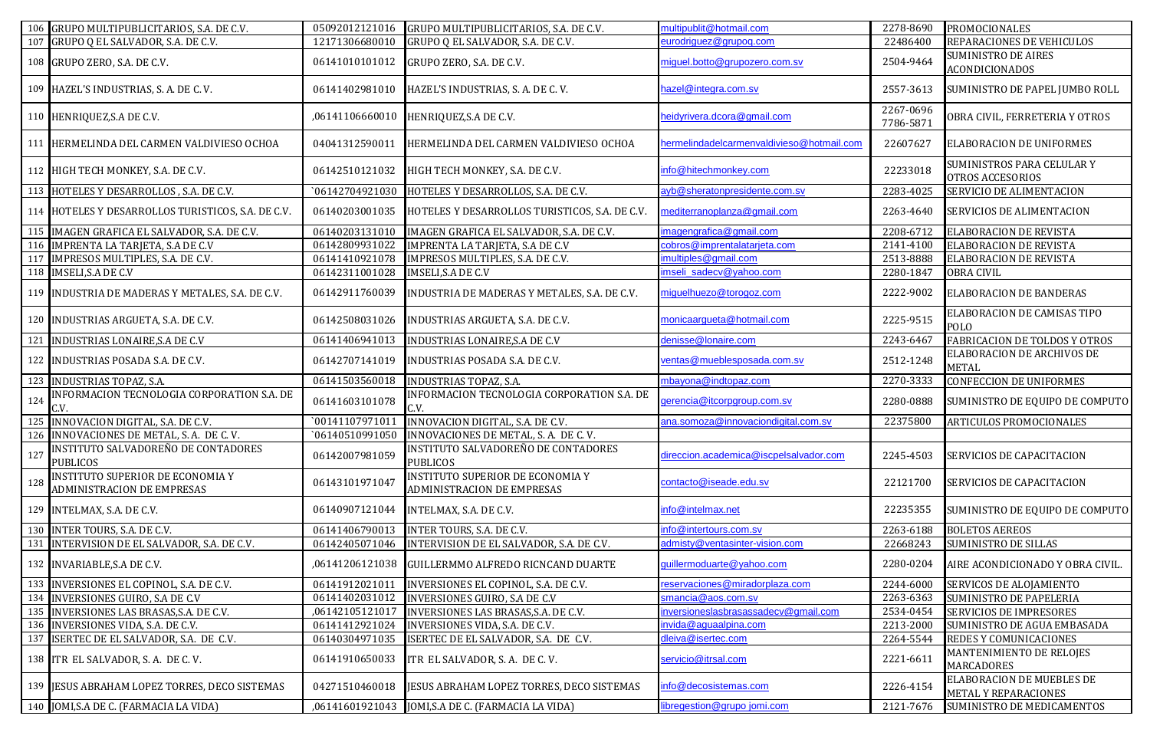|     | 106 GRUPO MULTIPUBLICITARIOS, S.A. DE C.V.                     | 05092012121016  | GRUPO MULTIPUBLICITARIOS, S.A. DE C.V.                                | multipublit@hotmail.com                   | 2278-8690              | <b>PROMOCIONALES</b>                                |
|-----|----------------------------------------------------------------|-----------------|-----------------------------------------------------------------------|-------------------------------------------|------------------------|-----------------------------------------------------|
|     | 107 GRUPO Q EL SALVADOR, S.A. DE C.V.                          | 12171306680010  | GRUPO Q EL SALVADOR, S.A. DE C.V.                                     | eurodriguez@grupog.com                    | 22486400               | REPARACIONES DE VEHICULOS                           |
|     | 108 GRUPO ZERO, S.A. DE C.V.                                   | 06141010101012  | GRUPO ZERO, S.A. DE C.V.                                              | miguel.botto@grupozero.com.sv             | 2504-9464              | <b>SUMINISTRO DE AIRES</b><br><b>ACONDICIONADOS</b> |
|     | 109 HAZEL'S INDUSTRIAS, S. A. DE C. V.                         | 06141402981010  | HAZEL'S INDUSTRIAS, S. A. DE C. V.                                    | azel@integra.com.sv                       | 2557-3613              | SUMINISTRO DE PAPEL JUMBO ROLL                      |
|     | 110 HENRIQUEZ, S.A DE C.V.                                     | ,06141106660010 | HENRIQUEZ, S.A DE C.V.                                                | neidyrivera.dcora@gmail.com               | 2267-0696<br>7786-5871 | OBRA CIVIL, FERRETERIA Y OTROS                      |
|     | 111 HERMELINDA DEL CARMEN VALDIVIESO OCHOA                     | 04041312590011  | HERMELINDA DEL CARMEN VALDIVIESO OCHOA                                | hermelindadelcarmenvaldivieso@hotmail.com | 22607627               | ELABORACION DE UNIFORMES                            |
|     | 112 HIGH TECH MONKEY, S.A. DE C.V.                             | 06142510121032  | HIGH TECH MONKEY, S.A. DE C.V.                                        | nfo@hitechmonkey.com                      | 22233018               | SUMINISTROS PARA CELULAR Y<br>OTROS ACCESORIOS      |
|     | 113 HOTELES Y DESARROLLOS, S.A. DE C.V.                        | `06142704921030 | HOTELES Y DESARROLLOS, S.A. DE C.V.                                   | ayb@sheratonpresidente.com.sv             | 2283-4025              | SERVICIO DE ALIMENTACION                            |
|     | 114 HOTELES Y DESARROLLOS TURISTICOS, S.A. DE C.V.             | 06140203001035  | HOTELES Y DESARROLLOS TURISTICOS, S.A. DE C.V.                        | nediterranoplanza@gmail.com               | 2263-4640              | SERVICIOS DE ALIMENTACION                           |
|     | 115 IMAGEN GRAFICA EL SALVADOR, S.A. DE C.V.                   | 06140203131010  | IMAGEN GRAFICA EL SALVADOR, S.A. DE C.V.                              | magengrafica@gmail.com                    | 2208-6712              | ELABORACION DE REVISTA                              |
|     | 116 IMPRENTA LA TARJETA, S.A DE C.V                            | 06142809931022  | IMPRENTA LA TARJETA, S.A DE C.V                                       | cobros@imprentalatarjeta.com              | 2141-4100              | ELABORACION DE REVISTA                              |
|     | 117 IMPRESOS MULTIPLES, S.A. DE C.V.                           | 06141410921078  | IMPRESOS MULTIPLES, S.A. DE C.V.                                      | multiples@gmail.com                       | 2513-8888              | ELABORACION DE REVISTA                              |
|     | 118 IMSELI, S.A DE C.V                                         | 06142311001028  | <b>IMSELI, S.A DE C.V</b>                                             | mseli_sadecv@yahoo.com                    | 2280-1847              | <b>OBRA CIVIL</b>                                   |
|     | 119 INDUSTRIA DE MADERAS Y METALES, S.A. DE C.V.               | 06142911760039  | INDUSTRIA DE MADERAS Y METALES, S.A. DE C.V.                          | miquelhuezo@torogoz.com                   | 2222-9002              | ELABORACION DE BANDERAS                             |
|     | 120 INDUSTRIAS ARGUETA, S.A. DE C.V.                           | 06142508031026  | INDUSTRIAS ARGUETA, S.A. DE C.V.                                      | monicaargueta@hotmail.com                 | 2225-9515              | ELABORACION DE CAMISAS TIPO<br>POLO                 |
|     | 121 INDUSTRIAS LONAIRE, S.A DE C.V                             | 06141406941013  | INDUSTRIAS LONAIRE, S.A DE C.V                                        | denisse@lonaire.com                       | 2243-6467              | FABRICACION DE TOLDOS Y OTROS                       |
|     | 122 INDUSTRIAS POSADA S.A. DE C.V.                             | 06142707141019  | INDUSTRIAS POSADA S.A. DE C.V.                                        | ventas@mueblesposada.com.sv               | 2512-1248              | ELABORACION DE ARCHIVOS DE<br>METAL                 |
|     | 123 INDUSTRIAS TOPAZ, S.A.                                     | 06141503560018  | <b>INDUSTRIAS TOPAZ, S.A.</b>                                         | mbayona@indtopaz.com                      | 2270-3333              | CONFECCION DE UNIFORMES                             |
| 124 | INFORMACION TECNOLOGIA CORPORATION S.A. DE                     | 06141603101078  | INFORMACION TECNOLOGIA CORPORATION S.A. DE<br>C.V.                    | gerencia@itcorpgroup.com.sv               | 2280-0888              | SUMINISTRO DE EQUIPO DE COMPUTO                     |
|     | 125 INNOVACION DIGITAL, S.A. DE C.V.                           | `00141107971011 | INNOVACION DIGITAL, S.A. DE C.V.                                      | ana.somoza@innovaciondigital.com.sv       | 22375800               | ARTICULOS PROMOCIONALES                             |
|     | 126 INNOVACIONES DE METAL, S. A. DE C.V.                       | `06140510991050 | INNOVACIONES DE METAL, S. A. DE C. V.                                 |                                           |                        |                                                     |
| 127 | INSTITUTO SALVADOREÑO DE CONTADORES<br><b>PUBLICOS</b>         | 06142007981059  | INSTITUTO SALVADOREÑO DE CONTADORES<br>PUBLICOS                       | direccion.academica@iscpelsalvador.com    | 2245-4503              | SERVICIOS DE CAPACITACION                           |
| 128 | INSTITUTO SUPERIOR DE ECONOMIA Y<br>ADMINISTRACION DE EMPRESAS | 06143101971047  | <b>INSTITUTO SUPERIOR DE ECONOMIA Y</b><br>ADMINISTRACION DE EMPRESAS | contacto@iseade.edu.sv                    | 22121700               | SERVICIOS DE CAPACITACION                           |
|     | 129 INTELMAX, S.A. DE C.V.                                     | 06140907121044  | INTELMAX, S.A. DE C.V.                                                | nfo@intelmax.net                          | 22235355               | SUMINISTRO DE EQUIPO DE COMPUTO                     |
|     | 130 INTER TOURS, S.A. DE C.V.                                  | 06141406790013  | INTER TOURS, S.A. DE C.V.                                             | nfo@intertours.com.sv                     | 2263-6188              | <b>BOLETOS AEREOS</b>                               |
|     | 131 INTERVISION DE EL SALVADOR, S.A. DE C.V.                   | 06142405071046  | INTERVISION DE EL SALVADOR, S.A. DE C.V.                              | admisty@ventasinter-vision.com            | 22668243               | SUMINISTRO DE SILLAS                                |
|     | 132 INVARIABLE, S.A DE C.V.                                    |                 | ,06141206121038 GUILLERMMO ALFREDO RICNCAND DUARTE                    | guillermoduarte@yahoo.com                 | 2280-0204              | AIRE ACONDICIONADO Y OBRA CIVIL.                    |
|     | 133 INVERSIONES EL COPINOL, S.A. DE C.V.                       | 06141912021011  | INVERSIONES EL COPINOL, S.A. DE C.V.                                  | eservaciones@miradorplaza.com             | 2244-6000              | SERVICOS DE ALOJAMIENTO                             |
|     | 134 INVERSIONES GUIRO, S.A DE C.V                              | 06141402031012  | INVERSIONES GUIRO, S.A DE C.V                                         | mancia@aos.com.sv                         | 2263-6363              | SUMINISTRO DE PAPELERIA                             |
|     | 135 INVERSIONES LAS BRASAS, S.A. DE C.V.                       | ,06142105121017 | INVERSIONES LAS BRASAS, S.A. DE C.V.                                  | nversioneslasbrasassadecv@gmail.com       | 2534-0454              | SERVICIOS DE IMPRESORES                             |
|     | 136 INVERSIONES VIDA, S.A. DE C.V.                             | 06141412921024  | INVERSIONES VIDA, S.A. DE C.V.                                        | nvida@aguaalpina.com                      | 2213-2000              | SUMINISTRO DE AGUA EMBASADA                         |
|     | 137 ISERTEC DE EL SALVADOR, S.A. DE C.V.                       | 06140304971035  | ISERTEC DE EL SALVADOR, S.A. DE C.V.                                  | dleiva@isertec.com                        | 2264-5544              | REDES Y COMUNICACIONES                              |
|     | 138 ITR EL SALVADOR, S. A. DE C. V.                            | 06141910650033  | ITR EL SALVADOR, S. A. DE C. V.                                       | servicio@itrsal.com                       | 2221-6611              | MANTENIMIENTO DE RELOJES<br><b>MARCADORES</b>       |
|     | 139 JESUS ABRAHAM LOPEZ TORRES, DECO SISTEMAS                  | 04271510460018  | JESUS ABRAHAM LOPEZ TORRES, DECO SISTEMAS                             | nfo@decosistemas.com                      | 2226-4154              | ELABORACION DE MUEBLES DE<br>METAL Y REPARACIONES   |
|     | 140 JOMI, S.A DE C. (FARMACIA LA VIDA)                         | ,06141601921043 | JOMI, S.A DE C. (FARMACIA LA VIDA)                                    | ibregestion@grupo jomi.com                | 2121-7676              | SUMINISTRO DE MEDICAMENTOS                          |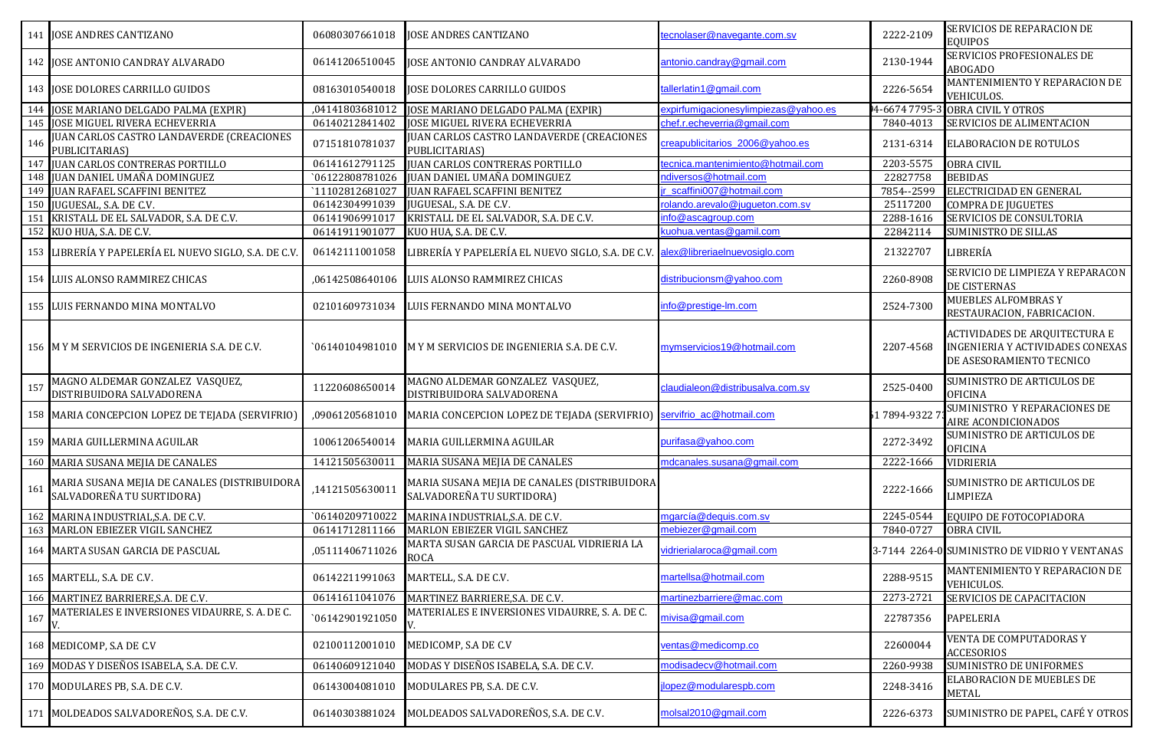|     |                                                                           |                 |                                                                           |                                      |              | SERVICIOS DE REPARACION DE                                                                           |
|-----|---------------------------------------------------------------------------|-----------------|---------------------------------------------------------------------------|--------------------------------------|--------------|------------------------------------------------------------------------------------------------------|
|     | 141 JOSE ANDRES CANTIZANO                                                 | 06080307661018  | <b>JOSE ANDRES CANTIZANO</b>                                              | tecnolaser@navegante.com.sv          | 2222-2109    | <b>EQUIPOS</b>                                                                                       |
|     | 142 JOSE ANTONIO CANDRAY ALVARADO                                         | 06141206510045  | JOSE ANTONIO CANDRAY ALVARADO                                             | antonio.candray@gmail.com            | 2130-1944    | SERVICIOS PROFESIONALES DE<br>ABOGADO                                                                |
|     | 143 JOSE DOLORES CARRILLO GUIDOS                                          | 08163010540018  | <b>JOSE DOLORES CARRILLO GUIDOS</b>                                       | tallerlatin1@gmail.com               | 2226-5654    | MANTENIMIENTO Y REPARACION DE<br>VEHICULOS.                                                          |
| 144 | JOSE MARIANO DELGADO PALMA (EXPIR)                                        | ,04141803681012 | JOSE MARIANO DELGADO PALMA (EXPIR)                                        | expirfumigacionesylimpiezas@yahoo.es | 4-6674 7795  | <b>OBRA CIVIL Y OTROS</b>                                                                            |
|     | 145 JOSE MIGUEL RIVERA ECHEVERRIA                                         | 06140212841402  | <b>JOSE MIGUEL RIVERA ECHEVERRIA</b>                                      | chef.r.echeverria@gmail.com          | 7840-4013    | SERVICIOS DE ALIMENTACION                                                                            |
| 146 | JUAN CARLOS CASTRO LANDAVERDE (CREACIONES<br>PUBLICITARIAS)               | 07151810781037  | JUAN CARLOS CASTRO LANDAVERDE (CREACIONES<br>PUBLICITARIAS)               | creapublicitarios_2006@yahoo.es      | 2131-6314    | <b>ELABORACION DE ROTULOS</b>                                                                        |
| 147 | <b>JUAN CARLOS CONTRERAS PORTILLO</b>                                     | 06141612791125  | <b>JUAN CARLOS CONTRERAS PORTILLO</b>                                     | tecnica.mantenimiento@hotmail.com    | 2203-5575    | <b>OBRA CIVIL</b>                                                                                    |
|     | 148 JUAN DANIEL UMAÑA DOMINGUEZ                                           | `06122808781026 | JUAN DANIEL UMAÑA DOMINGUEZ                                               | ndiversos@hotmail.com                | 22827758     | <b>BEBIDAS</b>                                                                                       |
| 149 | <b>JUAN RAFAEL SCAFFINI BENITEZ</b>                                       | `11102812681027 | <b>JUAN RAFAEL SCAFFINI BENITEZ</b>                                       | r_scaffini007@hotmail.com            | 7854 -- 2599 | ELECTRICIDAD EN GENERAL                                                                              |
| 150 | JUGUESAL, S.A. DE C.V.                                                    | 06142304991039  | JUGUESAL, S.A. DE C.V.                                                    | rolando.arevalo@jugueton.com.sv      | 25117200     | <b>COMPRA DE JUGUETES</b>                                                                            |
| 151 | KRISTALL DE EL SALVADOR, S.A. DE C.V.                                     | 06141906991017  | KRISTALL DE EL SALVADOR, S.A. DE C.V.                                     | info@ascagroup.com                   | 2288-1616    | SERVICIOS DE CONSULTORIA                                                                             |
|     | 152 KUO HUA, S.A. DE C.V.                                                 | 06141911901077  | KUO HUA, S.A. DE C.V.                                                     | kuohua.ventas@gamil.com              | 22842114     | <b>SUMINISTRO DE SILLAS</b>                                                                          |
|     | 153 LIBRERÍA Y PAPELERÍA EL NUEVO SIGLO, S.A. DE C.V.                     | 06142111001058  | LIBRERÍA Y PAPELERÍA EL NUEVO SIGLO, S.A. DE C.V                          | alex@libreriaelnuevosiglo.com        | 21322707     | LIBRERÍA                                                                                             |
|     | 154 LUIS ALONSO RAMMIREZ CHICAS                                           | ,06142508640106 | LUIS ALONSO RAMMIREZ CHICAS                                               | distribucionsm@yahoo.com             | 2260-8908    | SERVICIO DE LIMPIEZA Y REPARACON<br><b>DE CISTERNAS</b>                                              |
|     | 155 LUIS FERNANDO MINA MONTALVO                                           | 02101609731034  | LUIS FERNANDO MINA MONTALVO                                               | info@prestige-lm.com                 | 2524-7300    | MUEBLES ALFOMBRAS Y<br>RESTAURACION, FABRICACION.                                                    |
|     | 156 M Y M SERVICIOS DE INGENIERIA S.A. DE C.V.                            | 06140104981010` | M Y M SERVICIOS DE INGENIERIA S.A. DE C.V.                                | mymservicios19@hotmail.com           | 2207-4568    | <b>ACTIVIDADES DE ARQUITECTURA E</b><br>INGENIERIA Y ACTIVIDADES CONEXAS<br>DE ASESORAMIENTO TECNICO |
| 157 | MAGNO ALDEMAR GONZALEZ VASQUEZ,<br>DISTRIBUIDORA SALVADORENA              | 11220608650014  | MAGNO ALDEMAR GONZALEZ VASQUEZ,<br>DISTRIBUIDORA SALVADORENA              | claudialeon@distribusalva.com.sv     | 2525-0400    | SUMINISTRO DE ARTICULOS DE<br><b>OFICINA</b>                                                         |
|     | 158 MARIA CONCEPCION LOPEZ DE TEJADA (SERVIFRIO)                          | ,09061205681010 | MARIA CONCEPCION LOPEZ DE TEJADA (SERVIFRIO)                              | servifrio_ac@hotmail.com             | 51 7894-9322 | SUMINISTRO Y REPARACIONES DE<br>AIRE ACONDICIONADOS                                                  |
|     | 159 MARIA GUILLERMINA AGUILAR                                             | 10061206540014  | MARIA GUILLERMINA AGUILAR                                                 | purifasa@yahoo.com                   | 2272-3492    | SUMINISTRO DE ARTICULOS DE<br><b>OFICINA</b>                                                         |
|     | 160 MARIA SUSANA MEJIA DE CANALES                                         | 14121505630011  | MARIA SUSANA MEJIA DE CANALES                                             | mdcanales.susana@gmail.com           | 2222-1666    | VIDRIERIA                                                                                            |
| 161 | MARIA SUSANA MEJIA DE CANALES (DISTRIBUIDORA<br>SALVADOREÑA TU SURTIDORA) | ,14121505630011 | MARIA SUSANA MEJIA DE CANALES (DISTRIBUIDORA<br>SALVADOREÑA TU SURTIDORA) |                                      | 2222-1666    | SUMINISTRO DE ARTICULOS DE<br>LIMPIEZA                                                               |
|     | 162 MARINA INDUSTRIAL, S.A. DE C.V.                                       | 06140209710022  | MARINA INDUSTRIAL, S.A. DE C.V.                                           | mgarcía@dequis.com.sv                | 2245-0544    | EQUIPO DE FOTOCOPIADORA                                                                              |
|     | 163 MARLON EBIEZER VIGIL SANCHEZ                                          | 06141712811166  | MARLON EBIEZER VIGIL SANCHEZ                                              | mebiezer@gmail.com                   | 7840-0727    | <b>OBRA CIVIL</b>                                                                                    |
|     | 164 MARTA SUSAN GARCIA DE PASCUAL                                         | ,05111406711026 | MARTA SUSAN GARCIA DE PASCUAL VIDRIERIA LA<br>ROCA                        | vidrierialaroca@gmail.com            |              | 3-7144 2264-0 SUMINISTRO DE VIDRIO Y VENTANAS                                                        |
|     | 165 MARTELL, S.A. DE C.V.                                                 | 06142211991063  | MARTELL, S.A. DE C.V.                                                     | martellsa@hotmail.com                | 2288-9515    | MANTENIMIENTO Y REPARACION DE<br>VEHICULOS.                                                          |
|     | 166 MARTINEZ BARRIERE, S.A. DE C.V.                                       | 06141611041076  | MARTINEZ BARRIERE, S.A. DE C.V.                                           | martinezbarriere@mac.com             | 2273-2721    | SERVICIOS DE CAPACITACION                                                                            |
| 167 | MATERIALES E INVERSIONES VIDAURRE, S. A. DE C.                            | `06142901921050 | MATERIALES E INVERSIONES VIDAURRE, S. A. DE C.                            | mivisa@gmail.com                     | 22787356     | <b>PAPELERIA</b>                                                                                     |
|     | 168 MEDICOMP, S.A DE C.V                                                  | 02100112001010  | MEDICOMP, S.A DE C.V                                                      | ventas@medicomp.co                   | 22600044     | VENTA DE COMPUTADORAS Y<br>ACCESORIOS                                                                |
|     | 169 MODAS Y DISEÑOS ISABELA, S.A. DE C.V.                                 | 06140609121040  | MODAS Y DISEÑOS ISABELA, S.A. DE C.V.                                     | modisadecv@hotmail.com               | 2260-9938    | <b>SUMINISTRO DE UNIFORMES</b>                                                                       |
|     | 170 MODULARES PB, S.A. DE C.V.                                            | 06143004081010  | MODULARES PB, S.A. DE C.V.                                                | jlopez@modularespb.com               | 2248-3416    | ELABORACION DE MUEBLES DE<br><b>METAL</b>                                                            |
|     | 171 MOLDEADOS SALVADOREÑOS, S.A. DE C.V.                                  | 06140303881024  | MOLDEADOS SALVADOREÑOS, S.A. DE C.V.                                      | molsal2010@gmail.com                 | 2226-6373    | SUMINISTRO DE PAPEL, CAFÉ Y OTROS                                                                    |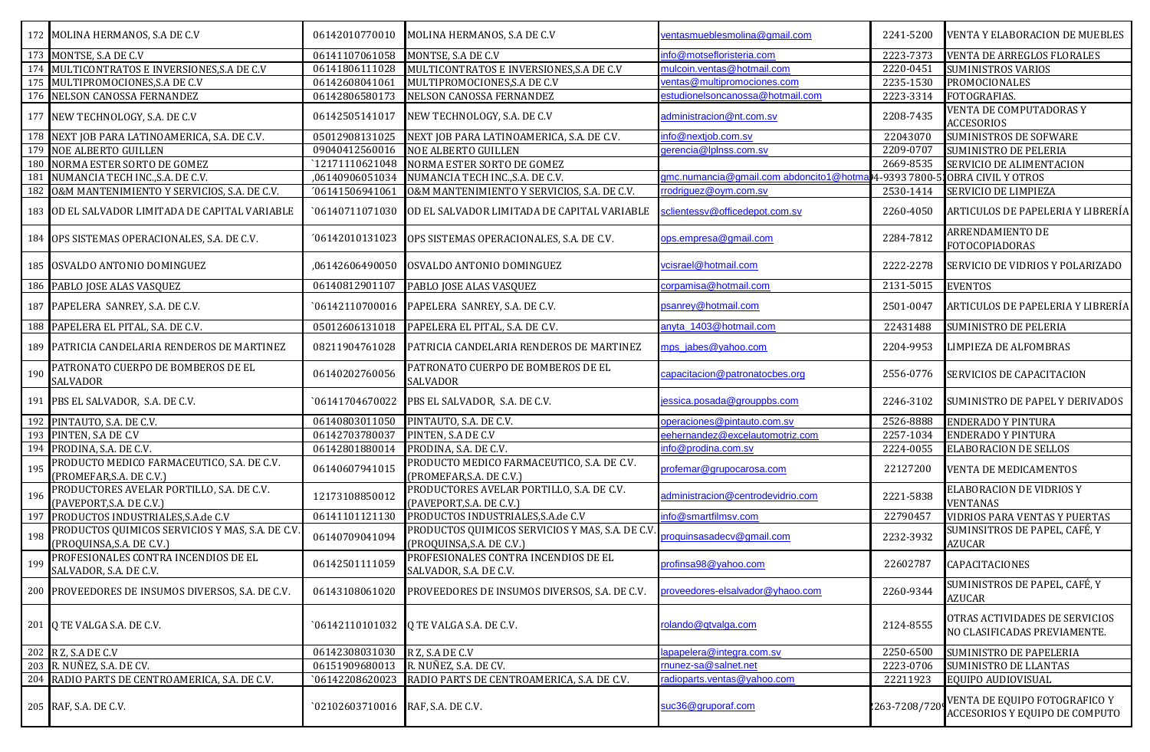|     | 172 MOLINA HERMANOS, S.A DE C.V                                               | 06142010770010                    | MOLINA HERMANOS, S.A DE C.V                                                   | ventasmueblesmolina@gmail.com          | 2241-5200    | <b>VENTA Y ELABORACION DE MUEBLES</b>                           |
|-----|-------------------------------------------------------------------------------|-----------------------------------|-------------------------------------------------------------------------------|----------------------------------------|--------------|-----------------------------------------------------------------|
|     | 173 MONTSE, S.A DE C.V                                                        | 06141107061058                    | MONTSE, S.A DE C.V                                                            | info@motsefloristeria.com              | 2223-7373    | <b>VENTA DE ARREGLOS FLORALES</b>                               |
|     | 174 MULTICONTRATOS E INVERSIONES, S.A DE C.V                                  | 06141806111028                    | MULTICONTRATOS E INVERSIONES, S.A DE C.V                                      | mulcoin.ventas@hotmail.com             | 2220-0451    | <b>SUMINISTROS VARIOS</b>                                       |
|     | 175 MULTIPROMOCIONES, S.A DE C.V                                              | 06142608041061                    | MULTIPROMOCIONES, S.A DE C.V                                                  | ventas@multipromociones.com            | 2235-1530    | PROMOCIONALES                                                   |
|     | 176 NELSON CANOSSA FERNANDEZ                                                  | 06142806580173                    | NELSON CANOSSA FERNANDEZ                                                      | estudionelsoncanossa@hotmail.com       | 2223-3314    | FOTOGRAFIAS.                                                    |
|     | 177 NEW TECHNOLOGY, S.A. DE C.V                                               | 06142505141017                    | NEW TECHNOLOGY, S.A. DE C.V                                                   | administracion@nt.com.sv               | 2208-7435    | VENTA DE COMPUTADORAS Y<br><b>ACCESORIOS</b>                    |
|     | 178 NEXT JOB PARA LATINOAMERICA, S.A. DE C.V.                                 | 05012908131025                    | NEXT JOB PARA LATINOAMERICA, S.A. DE C.V.                                     | info@nextjob.com.sv                    | 22043070     | <b>SUMINISTROS DE SOFWARE</b>                                   |
|     | 179 NOE ALBERTO GUILLEN                                                       | 09040412560016                    | <b>NOE ALBERTO GUILLEN</b>                                                    | gerencia@lplnss.com.sv                 | 2209-0707    | <b>SUMINISTRO DE PELERIA</b>                                    |
| 180 | NORMA ESTER SORTO DE GOMEZ                                                    | 12171110621048                    | NORMA ESTER SORTO DE GOMEZ                                                    |                                        | 2669-8535    | SERVICIO DE ALIMENTACION                                        |
| 181 | NUMANCIA TECH INC., S.A. DE C.V.                                              | ,06140906051034                   | NUMANCIA TECH INC., S.A. DE C.V.                                              | gmc.numancia@gmail.com abdoncito1@hotm | 4-9393 7800  | <b>OBRA CIVIL Y OTROS</b>                                       |
| 182 | O&M MANTENIMIENTO Y SERVICIOS, S.A. DE C.V.                                   | '06141506941061                   | O&M MANTENIMIENTO Y SERVICIOS, S.A. DE C.V.                                   | rrodriguez@oym.com.sv                  | 2530-1414    | SERVICIO DE LIMPIEZA                                            |
|     | 183 OD EL SALVADOR LIMITADA DE CAPITAL VARIABLE                               | `06140711071030                   | OD EL SALVADOR LIMITADA DE CAPITAL VARIABLE                                   | sclientessv@officedepot.com.sv         | 2260-4050    | ARTICULOS DE PAPELERIA Y LIBRERÍA                               |
|     | 184 OPS SISTEMAS OPERACIONALES, S.A. DE C.V.                                  | '06142010131023                   | OPS SISTEMAS OPERACIONALES, S.A. DE C.V.                                      | ops.empresa@gmail.com                  | 2284-7812    | ARRENDAMIENTO DE<br><b>FOTOCOPIADORAS</b>                       |
|     | 185 OSVALDO ANTONIO DOMINGUEZ                                                 | ,06142606490050                   | OSVALDO ANTONIO DOMINGUEZ                                                     | vcisrael@hotmail.com                   | 2222-2278    | <b>SERVICIO DE VIDRIOS Y POLARIZADO</b>                         |
|     | 186 PABLO JOSE ALAS VASQUEZ                                                   | 06140812901107                    | PABLO JOSE ALAS VASQUEZ                                                       | corpamisa@hotmail.com                  | 2131-5015    | <b>EVENTOS</b>                                                  |
|     | 187 PAPELERA SANREY, S.A. DE C.V.                                             | 06142110700016                    | PAPELERA SANREY, S.A. DE C.V.                                                 | psanrey@hotmail.com                    | 2501-0047    | ARTICULOS DE PAPELERIA Y LIBRERÍA                               |
|     | 188 PAPELERA EL PITAL, S.A. DE C.V.                                           | 05012606131018                    | PAPELERA EL PITAL, S.A. DE C.V.                                               | anyta_1403@hotmail.com                 | 22431488     | SUMINISTRO DE PELERIA                                           |
|     | 189 PATRICIA CANDELARIA RENDEROS DE MARTINEZ                                  | 08211904761028                    | PATRICIA CANDELARIA RENDEROS DE MARTINEZ                                      | mps jabes@yahoo.com                    | 2204-9953    | <b>LIMPIEZA DE ALFOMBRAS</b>                                    |
| 190 | PATRONATO CUERPO DE BOMBEROS DE EL<br>SALVADOR                                | 06140202760056                    | PATRONATO CUERPO DE BOMBEROS DE EL<br><b>SALVADOR</b>                         | capacitacion@patronatocbes.org         | 2556-0776    | SERVICIOS DE CAPACITACION                                       |
|     | 191 PBS EL SALVADOR, S.A. DE C.V.                                             | 06141704670022                    | PBS EL SALVADOR, S.A. DE C.V.                                                 | jessica.posada@grouppbs.com            | 2246-3102    | SUMINISTRO DE PAPEL Y DERIVADOS                                 |
| 192 | PINTAUTO, S.A. DE C.V.                                                        | 06140803011050                    | PINTAUTO, S.A. DE C.V.                                                        | operaciones@pintauto.com.sv            | 2526-8888    | <b>ENDERADO Y PINTURA</b>                                       |
| 193 | PINTEN, S.A DE C.V                                                            | 06142703780037                    | PINTEN, S.A DE C.V                                                            | eehernandez@excelautomotriz.com        | 2257-1034    | <b>ENDERADO Y PINTURA</b>                                       |
|     | 194 PRODINA, S.A. DE C.V.                                                     | 06142801880014                    | PRODINA, S.A. DE C.V.                                                         | info@prodina.com.sv                    | 2224-0055    | ELABORACION DE SELLOS                                           |
| 195 | PRODUCTO MEDICO FARMACEUTICO, S.A. DE C.V.<br>(PROMEFAR, S.A. DE C.V.)        | 06140607941015                    | PRODUCTO MEDICO FARMACEUTICO, S.A. DE C.V.<br>(PROMEFAR, S.A. DE C.V.)        | profemar@grupocarosa.com               | 22127200     | VENTA DE MEDICAMENTOS                                           |
| 196 | PRODUCTORES AVELAR PORTILLO, S.A. DE C.V.<br>(PAVEPORT, S.A. DE C.V.)         | 12173108850012                    | PRODUCTORES AVELAR PORTILLO, S.A. DE C.V.<br>(PAVEPORT, S.A. DE C.V.)         | administracion@centrodevidrio.com      | 2221-5838    | <b>ELABORACION DE VIDRIOS Y</b><br><b>VENTANAS</b>              |
| 197 | PRODUCTOS INDUSTRIALES, S.A.de C.V                                            | 06141101121130                    | PRODUCTOS INDUSTRIALES, S.A.de C.V                                            | info@smartfilmsv.com                   | 22790457     | VIDRIOS PARA VENTAS Y PUERTAS                                   |
| 198 | PRODUCTOS QUIMICOS SERVICIOS Y MAS, S.A. DE C.V.<br>(PROQUINSA, S.A. DE C.V.) | 06140709041094                    | PRODUCTOS QUIMICOS SERVICIOS Y MAS, S.A. DE C.V.<br>(PROQUINSA, S.A. DE C.V.) | oroquinsasadecv@qmail.com              | 2232-3932    | SUMINSITROS DE PAPEL, CAFÉ, Y<br>AZUCAR                         |
| 199 | PROFESIONALES CONTRA INCENDIOS DE EL<br>SALVADOR, S.A. DE C.V.                | 06142501111059                    | PROFESIONALES CONTRA INCENDIOS DE EL<br>SALVADOR, S.A. DE C.V.                | profinsa98@yahoo.com                   | 22602787     | CAPACITACIONES                                                  |
|     | 200 PROVEEDORES DE INSUMOS DIVERSOS, S.A. DE C.V.                             | 06143108061020                    | PROVEEDORES DE INSUMOS DIVERSOS, S.A. DE C.V.                                 | proveedores-elsalvador@vhaoo.com       | 2260-9344    | SUMINISTROS DE PAPEL, CAFÉ, Y<br><b>AZUCAR</b>                  |
|     | 201 Q TE VALGA S.A. DE C.V.                                                   |                                   | `06142110101032 Q TE VALGA S.A. DE C.V.                                       | rolando@qtvalga.com                    | 2124-8555    | OTRAS ACTIVIDADES DE SERVICIOS<br>NO CLASIFICADAS PREVIAMENTE.  |
|     | 202 R Z, S A DE C V                                                           | 06142308031030                    | R Z, S.A DE C.V                                                               | apapelera@integra.com.sv               | 2250-6500    | SUMINISTRO DE PAPELERIA                                         |
|     | 203 R. NUÑEZ, S.A. DE CV.                                                     | 06151909680013                    | R. NUÑEZ, S.A. DE CV.                                                         | munez-sa@salnet.net                    | 2223-0706    | SUMINISTRO DE LLANTAS                                           |
|     | 204 RADIO PARTS DE CENTROAMERICA, S.A. DE C.V.                                | `06142208620023                   | RADIO PARTS DE CENTROAMERICA, S.A. DE C.V.                                    | radioparts.ventas@yahoo.com            | 22211923     | EQUIPO AUDIOVISUAL                                              |
|     | 205 RAF, S.A. DE C.V.                                                         | `02102603710016 RAF, S.A. DE C.V. |                                                                               | suc36@gruporaf.com                     | 263-7208/720 | VENTA DE EQUIPO FOTOGRAFICO Y<br>ACCESORIOS Y EQUIPO DE COMPUTO |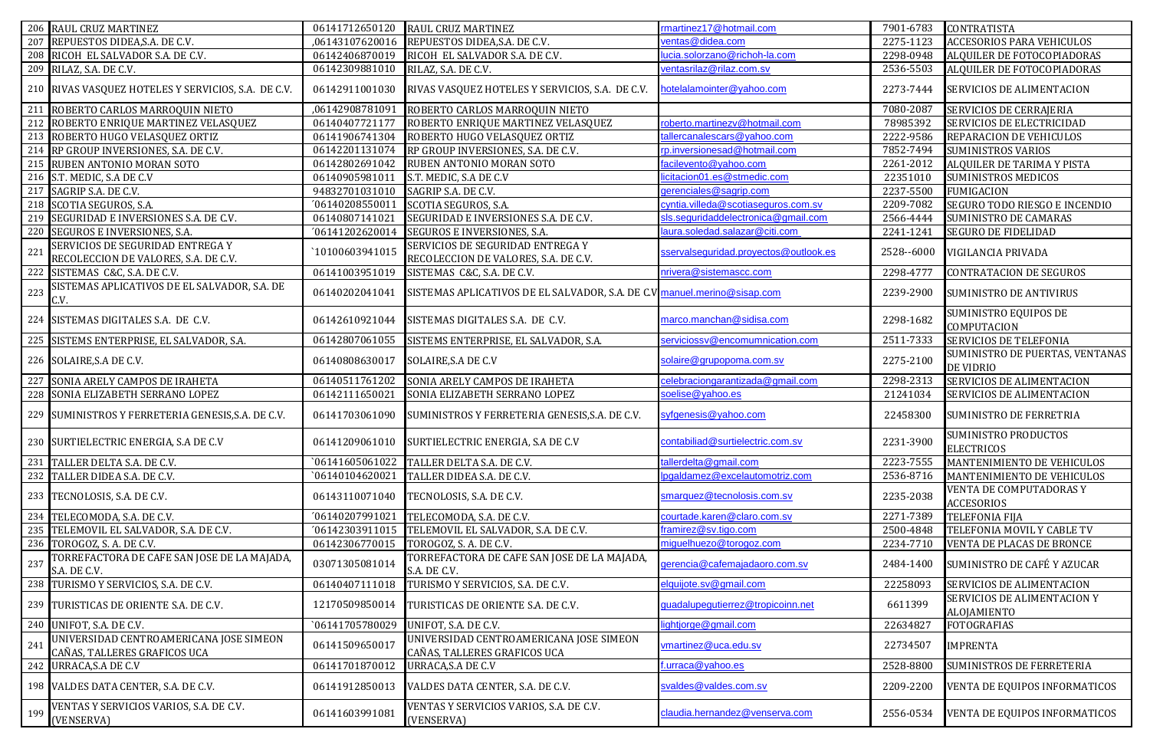|                 | 206 RAUL CRUZ MARTINEZ                                                    | 06141712650120  | RAUL CRUZ MARTINEZ                                                       | rmartinez17@hotmail.com               | 7901-6783  | <b>CONTRATISTA</b>                                  |
|-----------------|---------------------------------------------------------------------------|-----------------|--------------------------------------------------------------------------|---------------------------------------|------------|-----------------------------------------------------|
| 207             | REPUESTOS DIDEA, S.A. DE C.V.                                             | ,06143107620016 | REPUESTOS DIDEA, S.A. DE C.V.                                            | ventas@didea.com                      | 2275-1123  | ACCESORIOS PARA VEHICULOS                           |
|                 | 208 RICOH EL SALVADOR S.A. DE C.V.                                        | 06142406870019  | RICOH EL SALVADOR S.A. DE C.V.                                           | ucia.solorzano@richoh-la.com          | 2298-0948  | ALQUILER DE FOTOCOPIADORAS                          |
|                 | 209 RILAZ, S.A. DE C.V.                                                   | 06142309881010  | RILAZ, S.A. DE C.V.                                                      | ventasrilaz@rilaz.com.sv              | 2536-5503  | ALQUILER DE FOTOCOPIADORAS                          |
|                 | 210 RIVAS VASQUEZ HOTELES Y SERVICIOS, S.A. DE C.V.                       | 06142911001030  | RIVAS VASQUEZ HOTELES Y SERVICIOS, S.A. DE C.V.                          | notelalamointer@yahoo.com             | 2273-7444  | SERVICIOS DE ALIMENTACION                           |
|                 | 211 ROBERTO CARLOS MARROQUIN NIETO                                        | ,06142908781091 | ROBERTO CARLOS MARROQUIN NIETO                                           |                                       | 7080-2087  | SERVICIOS DE CERRAJERIA                             |
|                 | 212 ROBERTO ENRIQUE MARTINEZ VELASQUEZ                                    | 06140407721177  | ROBERTO ENRIQUE MARTINEZ VELASQUEZ                                       | roberto.martinezv@hotmail.com         | 78985392   | SERVICIOS DE ELECTRICIDAD                           |
|                 | 213 ROBERTO HUGO VELASQUEZ ORTIZ                                          | 06141906741304  | ROBERTO HUGO VELASQUEZ ORTIZ                                             | allercanalescars@yahoo.com            | 2222-9586  | REPARACION DE VEHICULOS                             |
|                 | 214 RP GROUP INVERSIONES, S.A. DE C.V.                                    | 06142201131074  | RP GROUP INVERSIONES, S.A. DE C.V.                                       | rp.inversionesad@hotmail.com          | 7852-7494  | <b>SUMINISTROS VARIOS</b>                           |
|                 | 215 RUBEN ANTONIO MORAN SOTO                                              | 06142802691042  | RUBEN ANTONIO MORAN SOTO                                                 | acilevento@yahoo.com                  | 2261-2012  | ALQUILER DE TARIMA Y PISTA                          |
|                 | 216 S.T. MEDIC, S.A DE C.V                                                | 06140905981011  | S.T. MEDIC, S.A DE C.V                                                   | icitacion01.es@stmedic.com            | 22351010   | <b>SUMINISTROS MEDICOS</b>                          |
|                 | 217 SAGRIP S.A. DE C.V.                                                   | 94832701031010  | SAGRIP S.A. DE C.V.                                                      | gerenciales@sagrip.com                | 2237-5500  | <b>FUMIGACION</b>                                   |
|                 | 218 SCOTIA SEGUROS, S.A.                                                  | '06140208550011 | SCOTIA SEGUROS, S.A.                                                     | cyntia.villeda@scotiaseguros.com.sv   | 2209-7082  | SEGURO TODO RIESGO E INCENDIO                       |
|                 | 219 SEGURIDAD E INVERSIONES S.A. DE C.V.                                  | 06140807141021  | SEGURIDAD E INVERSIONES S.A. DE C.V.                                     | sls.seguridaddelectronica@gmail.com   | 2566-4444  | SUMINISTRO DE CAMARAS                               |
|                 | 220 SEGUROS E INVERSIONES, S.A.                                           | '06141202620014 | SEGUROS E INVERSIONES, S.A.                                              | aura.soledad.salazar@citi.com         | 2241-1241  | <b>SEGURO DE FIDELIDAD</b>                          |
|                 | SERVICIOS DE SEGURIDAD ENTREGA Y                                          |                 | SERVICIOS DE SEGURIDAD ENTREGA Y                                         |                                       |            |                                                     |
| 221             | RECOLECCION DE VALORES, S.A. DE C.V.                                      | `10100603941015 | RECOLECCION DE VALORES, S.A. DE C.V.                                     | sservalseguridad.proyectos@outlook.es | 2528--6000 | VIGILANCIA PRIVADA                                  |
| 222             | SISTEMAS C&C, S.A. DE C.V.                                                | 06141003951019  | SISTEMAS C&C, S.A. DE C.V.                                               | nrivera@sistemascc.com                | 2298-4777  | <b>CONTRATACION DE SEGUROS</b>                      |
| 223             | SISTEMAS APLICATIVOS DE EL SALVADOR, S.A. DE<br>V.                        | 06140202041041  | SISTEMAS APLICATIVOS DE EL SALVADOR, S.A. DE C.V manuel.merino@sisap.com |                                       | 2239-2900  | <b>SUMINISTRO DE ANTIVIRUS</b>                      |
|                 | 224 SISTEMAS DIGITALES S.A. DE C.V.                                       | 06142610921044  | SISTEMAS DIGITALES S.A. DE C.V.                                          | marco.manchan@sidisa.com              | 2298-1682  | SUMINISTRO EQUIPOS DE<br>COMPUTACION                |
|                 | 225 SISTEMS ENTERPRISE, EL SALVADOR, S.A.                                 | 06142807061055  | SISTEMS ENTERPRISE, EL SALVADOR, S.A.                                    | serviciossy@encomumnication.com       | 2511-7333  | SERVICIOS DE TELEFONIA                              |
|                 | 226 SOLAIRE, S.A DE C.V.                                                  | 06140808630017  | SOLAIRE, S.A DE C.V                                                      | solaire@grupopoma.com.sv              | 2275-2100  | SUMINISTRO DE PUERTAS, VENTANAS<br><b>DE VIDRIO</b> |
|                 | 227 SONIA ARELY CAMPOS DE IRAHETA                                         | 06140511761202  | SONIA ARELY CAMPOS DE IRAHETA                                            | celebraciongarantizada@gmail.com      | 2298-2313  | SERVICIOS DE ALIMENTACION                           |
|                 | 228 SONIA ELIZABETH SERRANO LOPEZ                                         | 06142111650021  | SONIA ELIZABETH SERRANO LOPEZ                                            | soelise@yahoo.es                      | 21241034   | SERVICIOS DE ALIMENTACION                           |
|                 | 229 SUMINISTROS Y FERRETERIA GENESIS, S.A. DE C.V.                        | 06141703061090  | SUMINISTROS Y FERRETERIA GENESIS, S.A. DE C.V.                           | syfgenesis@yahoo.com                  | 22458300   | SUMINISTRO DE FERRETRIA                             |
|                 | 230 SURTIELECTRIC ENERGIA, S.A DE C.V                                     | 06141209061010  | SURTIELECTRIC ENERGIA, S.A DE C.V                                        | contabiliad@surtielectric.com.sv      | 2231-3900  | SUMINISTRO PRODUCTOS<br><b>ELECTRICOS</b>           |
| 231             | TALLER DELTA S.A. DE C.V.                                                 | `06141605061022 | TALLER DELTA S.A. DE C.V.                                                | allerdelta@gmail.com                  | 2223-7555  | MANTENIMIENTO DE VEHICULOS                          |
|                 | 232 TALLER DIDEA S.A. DE C.V.                                             | `06140104620021 | TALLER DIDEA S.A. DE C.V.                                                | ogaldamez@excelautomotriz.com         | 2536-8716  | MANTENIMIENTO DE VEHICULOS                          |
|                 | 233 TECNOLOSIS, S.A. DE C.V.                                              | 06143110071040  | TECNOLOSIS, S.A. DE C.V.                                                 | smarquez@tecnolosis.com.sv            | 2235-2038  | VENTA DE COMPUTADORAS Y<br><b>ACCESORIOS</b>        |
|                 | 234 TELECOMODA, S.A. DE C.V.                                              | '06140207991021 | TELECOMODA, S.A. DE C.V.                                                 | courtade.karen@claro.com.sv           | 2271-7389  | <b>TELEFONIA FIJA</b>                               |
|                 | 235 TELEMOVIL EL SALVADOR, S.A. DE C.V.                                   | '06142303911015 | TELEMOVIL EL SALVADOR, S.A. DE C.V.                                      | ramirez@sv.tigo.com                   | 2500-4848  | TELEFONIA MOVIL Y CABLE TV                          |
|                 | 236 TOROGOZ, S. A. DE C.V.                                                | 06142306770015  | TOROGOZ, S. A. DE C.V.                                                   | miguelhuezo@torogoz.com               | 2234-7710  | VENTA DE PLACAS DE BRONCE                           |
|                 | TORREFACTORA DE CAFE SAN JOSE DE LA MAJADA,<br>$\frac{237}{S.A. DE C.V.}$ | 03071305081014  | TORREFACTORA DE CAFE SAN JOSE DE LA MAJADA,<br>S.A. DE C.V.              | gerencia@cafemajadaoro.com.sv         |            | 2484-1400 SUMINISTRO DE CAFÉ Y AZUCAR               |
|                 | 238 TURISMO Y SERVICIOS, S.A. DE C.V.                                     | 06140407111018  | TURISMO Y SERVICIOS, S.A. DE C.V.                                        | elquijote.sv@gmail.com                | 22258093   | SERVICIOS DE ALIMENTACION                           |
|                 | 239 TURISTICAS DE ORIENTE S.A. DE C.V.                                    | 12170509850014  | TURISTICAS DE ORIENTE S.A. DE C.V.                                       | guadalupegutierrez@tropicoinn.net     | 6611399    | SERVICIOS DE ALIMENTACION Y<br>ALOJAMIENTO          |
|                 | 240 UNIFOT, S.A. DE C.V.                                                  | `06141705780029 | UNIFOT, S.A. DE C.V.                                                     | ightjorge@gmail.com                   | 22634827   | <b>FOTOGRAFIAS</b>                                  |
|                 | UNIVERSIDAD CENTROAMERICANA JOSE SIMEON                                   |                 | UNIVERSIDAD CENTROAMERICANA JOSE SIMEON                                  |                                       |            |                                                     |
| 24 <sup>°</sup> | CAÑAS, TALLERES GRAFICOS UCA                                              | 06141509650017  | CAÑAS, TALLERES GRAFICOS UCA                                             | vmartinez@uca.edu.sv                  | 22734507   | <b>IMPRENTA</b>                                     |
|                 | 242 URRACA, S.A DE C.V                                                    | 06141701870012  | URRACA, S.A DE C.V                                                       | f.urraca@yahoo.es                     | 2528-8800  | SUMINISTROS DE FERRETERIA                           |
|                 | 198 VALDES DATA CENTER, S.A. DE C.V.                                      | 06141912850013  | VALDES DATA CENTER, S.A. DE C.V.                                         | svaldes@valdes.com.sv                 | 2209-2200  | VENTA DE EQUIPOS INFORMATICOS                       |
|                 |                                                                           |                 |                                                                          |                                       |            |                                                     |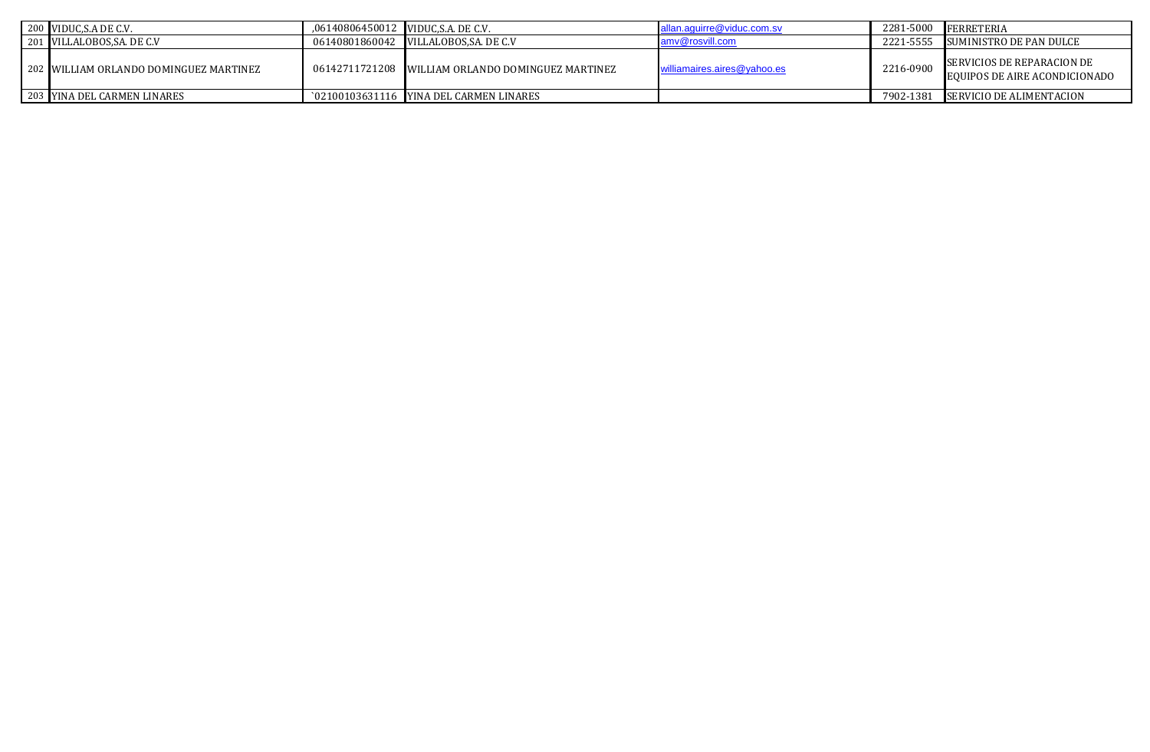| 200 VIDUC, S.A DE C.V.                 | .06140806450012 VIDUC.S.A. DE C.V. |                                                   | allan.aquirre@viduc.com.sv  |           | 2281-5000 FERRETERIA                                               |
|----------------------------------------|------------------------------------|---------------------------------------------------|-----------------------------|-----------|--------------------------------------------------------------------|
| 201 VILLALOBOS, SA. DE C.V             |                                    |                                                   | amy@rosvill.com             | 2221-5555 | SUMINISTRO DE PAN DULCE                                            |
| 202 WILLIAM ORLANDO DOMINGUEZ MARTINEZ |                                    | 06142711721208 WILLIAM ORLANDO DOMINGUEZ MARTINEZ | williamaires.aires@yahoo.es | 2216-0900 | SERVICIOS DE REPARACION DE<br><b>EQUIPOS DE AIRE ACONDICIONADO</b> |
| 203 YINA DEL CARMEN LINARES            |                                    | `02100103631116 YINA DEL CARMEN LINARES           |                             |           | 7902-1381 SERVICIO DE ALIMENTACION                                 |